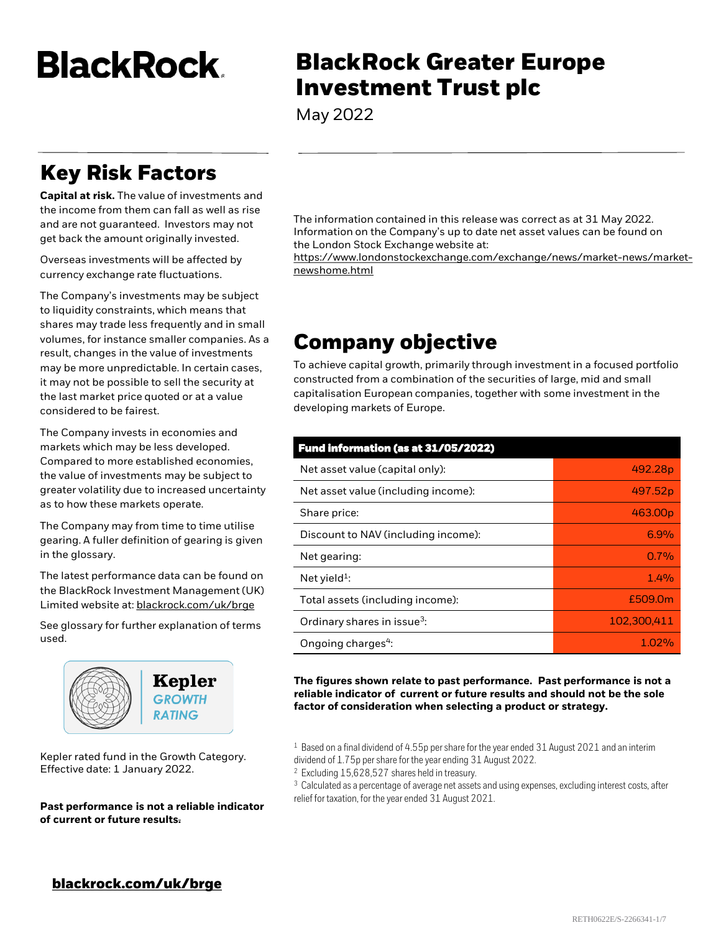**BlackRock.** 

# **BlackRock Greater Europe Investment Trust plc**

May 2022

## **Key Risk Factors**

**Capital at risk.** The value of investments and the income from them can fall as well as rise and are not guaranteed. Investors may not get back the amount originally invested.

Overseas investments will be affected by currency exchange rate fluctuations.

The Company's investments may be subject to liquidity constraints, which means that shares may trade less frequently and in small volumes, for instance smaller companies. As a result, changes in the value of investments may be more unpredictable. In certain cases, it may not be possible to sell the security at the last market price quoted or at a value considered to be fairest.

The Company invests in economies and markets which may be less developed. Compared to more established economies, the value of investments may be subject to greater volatility due to increased uncertainty as to how these markets operate.

The Company may from time to time utilise gearing. A fuller definition of gearing is given in the glossary.

The latest performance data can be found on the BlackRock Investment Management (UK) Limited website at: [blackrock.com/uk/brge](https://www.blackrock.com/uk/individual/products/investment-trusts/our-range/blackrock-greater-europe-investment-trust/trust-information)

See glossary for further explanation of terms used.



Kepler rated fund in the Growth Category. Effective date: 1 January 2022.

**Past performance is not a reliable indicator of current or future results.**

The information contained in this release was correct as at 31 May 2022. Information on the Company's up to date net asset values can be found on the London Stock Exchange website at:

https://www.londonstockexchange.com/exchange/news/market-news/marketnewshome.html

## **Company objective**

To achieve capital growth, primarily through investment in a focused portfolio constructed from a combination of the securities of large, mid and small capitalisation European companies, together with some investment in the developing markets of Europe.

| Fund information (as at 31/05/2022)     |             |  |  |
|-----------------------------------------|-------------|--|--|
| Net asset value (capital only):         | 492.28p     |  |  |
| Net asset value (including income):     | 497.52p     |  |  |
| Share price:                            | 463.00p     |  |  |
| Discount to NAV (including income):     | 6.9%        |  |  |
| Net gearing:                            | 0.7%        |  |  |
| Net yield <sup>1</sup> :                | 1.4%        |  |  |
| Total assets (including income):        | £509.0m     |  |  |
| Ordinary shares in issue <sup>3</sup> : | 102.300.411 |  |  |
| Ongoing charges <sup>4</sup> :          | 1.02%       |  |  |

**The figures shown relate to past performance. Past performance is not a reliable indicator of current or future results and should not be the sole factor of consideration when selecting a product or strategy.**

<sup>&</sup>lt;sup>1</sup> Based on a final dividend of 4.55p per share for the year ended 31 August 2021 and an interim dividend of 1.75p per share for the year ending 31 August 2022.

<sup>2</sup> Excluding 15,628,527 shares held in treasury.

<sup>&</sup>lt;sup>3</sup> Calculated as a percentage of average net assets and using expenses, excluding interest costs, after relief for taxation, for the year ended 31 August 2021.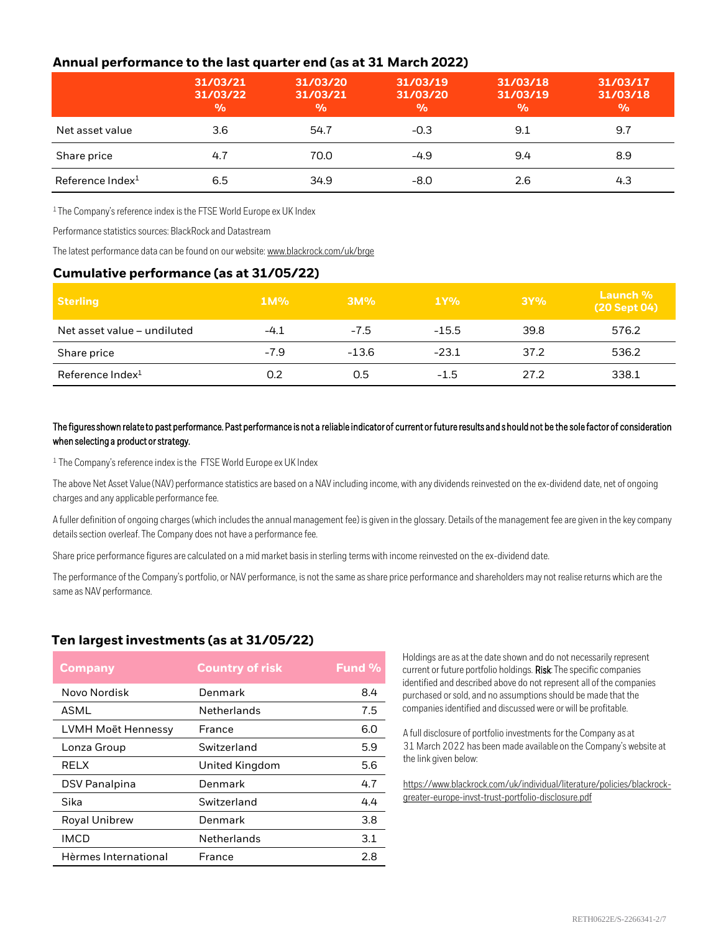### **Annual performance to the last quarter end (as at 31 March 2022)**

|                              | 31/03/21<br>31/03/22<br>$\frac{0}{0}$ | 31/03/20<br>31/03/21<br>$\frac{9}{6}$ | 31/03/19<br>31/03/20<br>$\frac{0}{0}$ | 31/03/18<br>31/03/19<br>$\frac{0}{0}$ | 31/03/17<br>31/03/18<br>$\frac{0}{0}$ |
|------------------------------|---------------------------------------|---------------------------------------|---------------------------------------|---------------------------------------|---------------------------------------|
| Net asset value              | 3.6                                   | 54.7                                  | $-0.3$                                | 9.1                                   | 9.7                                   |
| Share price                  | 4.7                                   | 70.0                                  | $-4.9$                                | 9.4                                   | 8.9                                   |
| Reference Index <sup>1</sup> | 6.5                                   | 34.9                                  | -8.0                                  | 2.6                                   | 4.3                                   |

<sup>1</sup> The Company's reference index is the FTSE World Europe ex UK Index

Performance statistics sources: BlackRock and Datastream

The latest performance data can be found on our website: [www.blackrock.com/uk/brge](https://www.blackrock.com/uk/individual/products/investment-trusts/our-range/blackrock-greater-europe-investment-trust/trust-information)

#### **Cumulative performance (as at 31/05/22)**

| <b>Sterling</b>              | $1M\%$ | 3M%     | 1Y%     | 3Y%  | Launch %<br>(20 Sept 04) |
|------------------------------|--------|---------|---------|------|--------------------------|
| Net asset value - undiluted  | $-4.1$ | $-7.5$  | $-15.5$ | 39.8 | 576.2                    |
| Share price                  | $-7.9$ | $-13.6$ | $-23.1$ | 37.2 | 536.2                    |
| Reference Index <sup>1</sup> | 0.2    | 0.5     | $-1.5$  | 27.2 | 338.1                    |

#### The figures shown relate to past performance. Past performance is not a reliable indicator of current or future results and should not be the sole factor of consideration when selecting a product or strategy.

<sup>1</sup> The Company's reference index is the FTSE World Europe ex UK Index

The above Net Asset Value (NAV) performance statistics are based on a NAV including income, with any dividends reinvested on the ex-dividend date, net of ongoing charges and any applicable performance fee.

A fuller definition of ongoing charges (which includes the annual management fee) is given in the glossary. Details of the management fee are given in the key company details section overleaf. The Company does not have a performance fee.

Share price performance figures are calculated on a mid market basis in sterling terms with income reinvested on the ex-dividend date.

The performance of the Company's portfolio, or NAV performance, is not the same as share price performance and shareholders may not realise returns which are the same as NAV performance.

#### **Ten largest investments (as at 31/05/22)**

| <b>Company</b>       | <b>Country of risk</b> | <b>Fund %</b> |
|----------------------|------------------------|---------------|
| Novo Nordisk         | Denmark                | 8.4           |
| ASML                 | Netherlands            | 7.5           |
| LVMH Moët Hennessy   | France                 | 6.0           |
| Lonza Group          | Switzerland            | 5.9           |
| <b>RELX</b>          | United Kingdom         | 5.6           |
| <b>DSV Panalpina</b> | Denmark                | 4.7           |
| Sika                 | Switzerland            | 4.4           |
| <b>Royal Unibrew</b> | Denmark                | 3.8           |
| <b>IMCD</b>          | Netherlands            | 3.1           |
| Hèrmes International | France                 | 2.8           |

Holdings are as at the date shown and do not necessarily represent current or future portfolio holdings. Risk: The specific companies identified and described above do not represent all of the companies purchased or sold, and no assumptions should be made that the companies identified and discussed were or will be profitable.

A full disclosure of portfolio investments for the Company as at 31 March 2022 has been made available on the Company's website at the link given below:

[https://www.blackrock.com/uk/individual/literature/policies/blackrock](https://www.blackrock.com/uk/individual/literature/policies/blackrock-greater-europe-invst-trust-portfolio-disclosure.pdf)greater-europe-invst-trust-portfolio-disclosure.pdf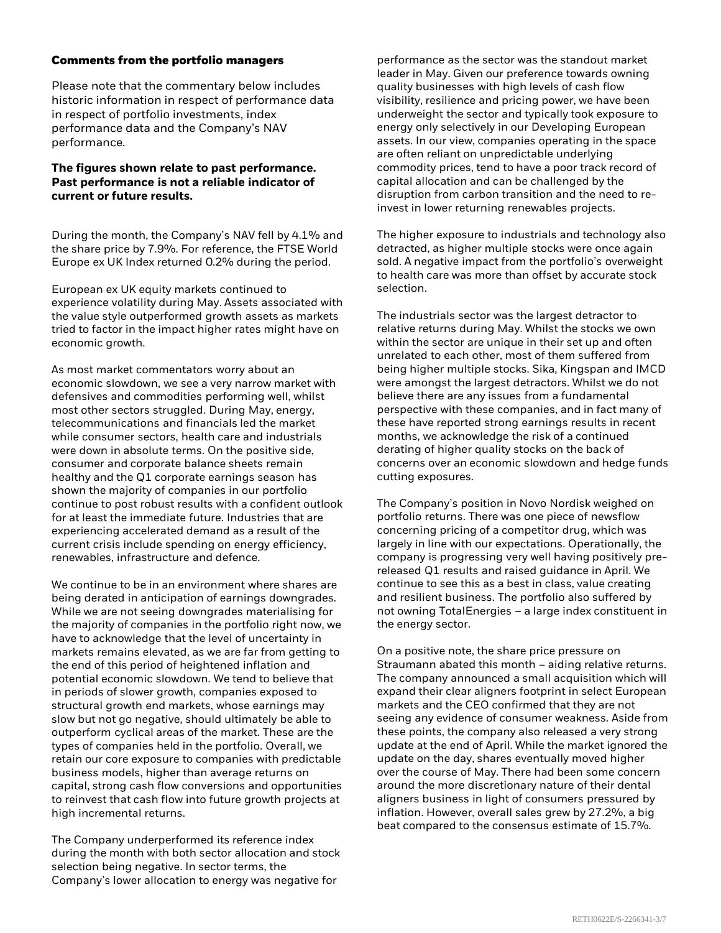#### **Comments from the portfolio managers**

Please note that the commentary below includes historic information in respect of performance data in respect of portfolio investments, index performance data and the Company's NAV performance.

#### **The figures shown relate to past performance. Past performance is not a reliable indicator of current or future results.**

During the month, the Company's NAV fell by 4.1% and the share price by 7.9%. For reference, the FTSE World Europe ex UK Index returned 0.2% during the period.

European ex UK equity markets continued to experience volatility during May. Assets associated with the value style outperformed growth assets as markets tried to factor in the impact higher rates might have on economic growth.

As most market commentators worry about an economic slowdown, we see a very narrow market with defensives and commodities performing well, whilst most other sectors struggled. During May, energy, telecommunications and financials led the market while consumer sectors, health care and industrials were down in absolute terms. On the positive side, consumer and corporate balance sheets remain healthy and the Q1 corporate earnings season has shown the majority of companies in our portfolio continue to post robust results with a confident outlook for at least the immediate future. Industries that are experiencing accelerated demand as a result of the current crisis include spending on energy efficiency, renewables, infrastructure and defence.

We continue to be in an environment where shares are being derated in anticipation of earnings downgrades. While we are not seeing downgrades materialising for the majority of companies in the portfolio right now, we have to acknowledge that the level of uncertainty in markets remains elevated, as we are far from getting to the end of this period of heightened inflation and potential economic slowdown. We tend to believe that in periods of slower growth, companies exposed to structural growth end markets, whose earnings may slow but not go negative, should ultimately be able to outperform cyclical areas of the market. These are the types of companies held in the portfolio. Overall, we retain our core exposure to companies with predictable business models, higher than average returns on capital, strong cash flow conversions and opportunities to reinvest that cash flow into future growth projects at high incremental returns.

The Company underperformed its reference index during the month with both sector allocation and stock selection being negative. In sector terms, the Company's lower allocation to energy was negative for

performance as the sector was the standout market leader in May. Given our preference towards owning quality businesses with high levels of cash flow visibility, resilience and pricing power, we have been underweight the sector and typically took exposure to energy only selectively in our Developing European assets. In our view, companies operating in the space are often reliant on unpredictable underlying commodity prices, tend to have a poor track record of capital allocation and can be challenged by the disruption from carbon transition and the need to reinvest in lower returning renewables projects.

The higher exposure to industrials and technology also detracted, as higher multiple stocks were once again sold. A negative impact from the portfolio's overweight to health care was more than offset by accurate stock selection.

The industrials sector was the largest detractor to relative returns during May. Whilst the stocks we own within the sector are unique in their set up and often unrelated to each other, most of them suffered from being higher multiple stocks. Sika, Kingspan and IMCD were amongst the largest detractors. Whilst we do not believe there are any issues from a fundamental perspective with these companies, and in fact many of these have reported strong earnings results in recent months, we acknowledge the risk of a continued derating of higher quality stocks on the back of concerns over an economic slowdown and hedge funds cutting exposures.

The Company's position in Novo Nordisk weighed on portfolio returns. There was one piece of newsflow concerning pricing of a competitor drug, which was largely in line with our expectations. Operationally, the company is progressing very well having positively prereleased Q1 results and raised guidance in April. We continue to see this as a best in class, value creating and resilient business. The portfolio also suffered by not owning TotalEnergies – a large index constituent in the energy sector.

On a positive note, the share price pressure on Straumann abated this month – aiding relative returns. The company announced a small acquisition which will expand their clear aligners footprint in select European markets and the CEO confirmed that they are not seeing any evidence of consumer weakness. Aside from these points, the company also released a very strong update at the end of April. While the market ignored the update on the day, shares eventually moved higher over the course of May. There had been some concern around the more discretionary nature of their dental aligners business in light of consumers pressured by inflation. However, overall sales grew by 27.2%, a big beat compared to the consensus estimate of 15.7%.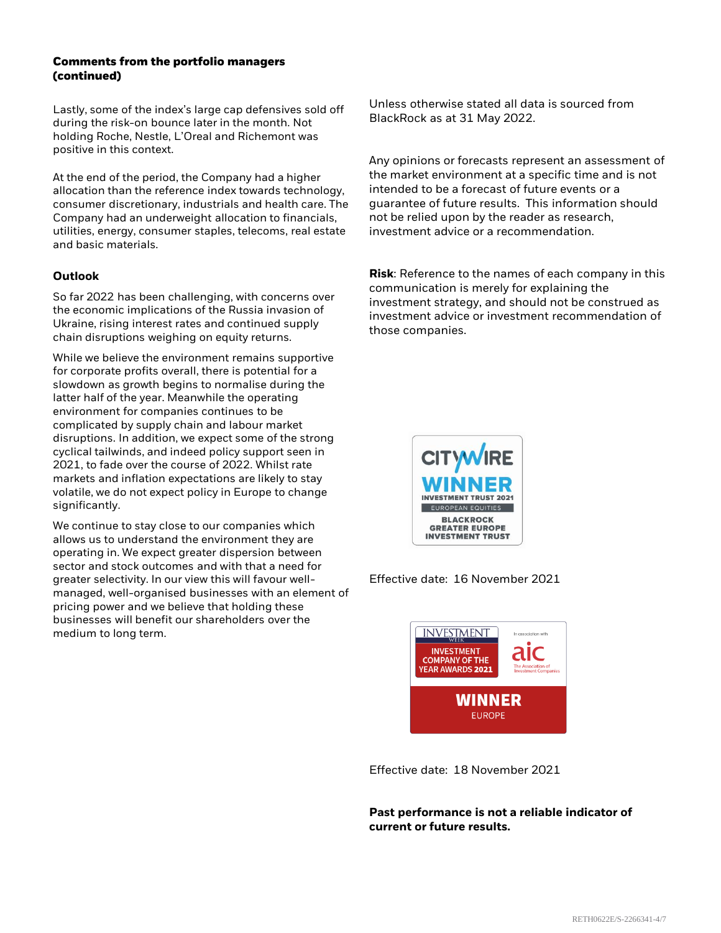#### **Comments from the portfolio managers (continued)**

Lastly, some of the index's large cap defensives sold off during the risk-on bounce later in the month. Not holding Roche, Nestle, L'Oreal and Richemont was positive in this context.

At the end of the period, the Company had a higher allocation than the reference index towards technology, consumer discretionary, industrials and health care. The Company had an underweight allocation to financials, utilities, energy, consumer staples, telecoms, real estate and basic materials.

#### **Outlook**

So far 2022 has been challenging, with concerns over the economic implications of the Russia invasion of Ukraine, rising interest rates and continued supply chain disruptions weighing on equity returns.

While we believe the environment remains supportive for corporate profits overall, there is potential for a slowdown as growth begins to normalise during the latter half of the year. Meanwhile the operating environment for companies continues to be complicated by supply chain and labour market disruptions. In addition, we expect some of the strong cyclical tailwinds, and indeed policy support seen in 2021, to fade over the course of 2022. Whilst rate markets and inflation expectations are likely to stay volatile, we do not expect policy in Europe to change significantly.

We continue to stay close to our companies which allows us to understand the environment they are operating in. We expect greater dispersion between sector and stock outcomes and with that a need for greater selectivity. In our view this will favour wellmanaged, well-organised businesses with an element of pricing power and we believe that holding these businesses will benefit our shareholders over the medium to long term.

Unless otherwise stated all data is sourced from BlackRock as at 31 May 2022.

Any opinions or forecasts represent an assessment of the market environment at a specific time and is not intended to be a forecast of future events or a guarantee of future results. This information should not be relied upon by the reader as research, investment advice or a recommendation.

**Risk**: Reference to the names of each company in this communication is merely for explaining the investment strategy, and should not be construed as investment advice or investment recommendation of those companies.



Effective date: 16 November 2021



Effective date: 18 November 2021

**Past performance is not a reliable indicator of current or future results.**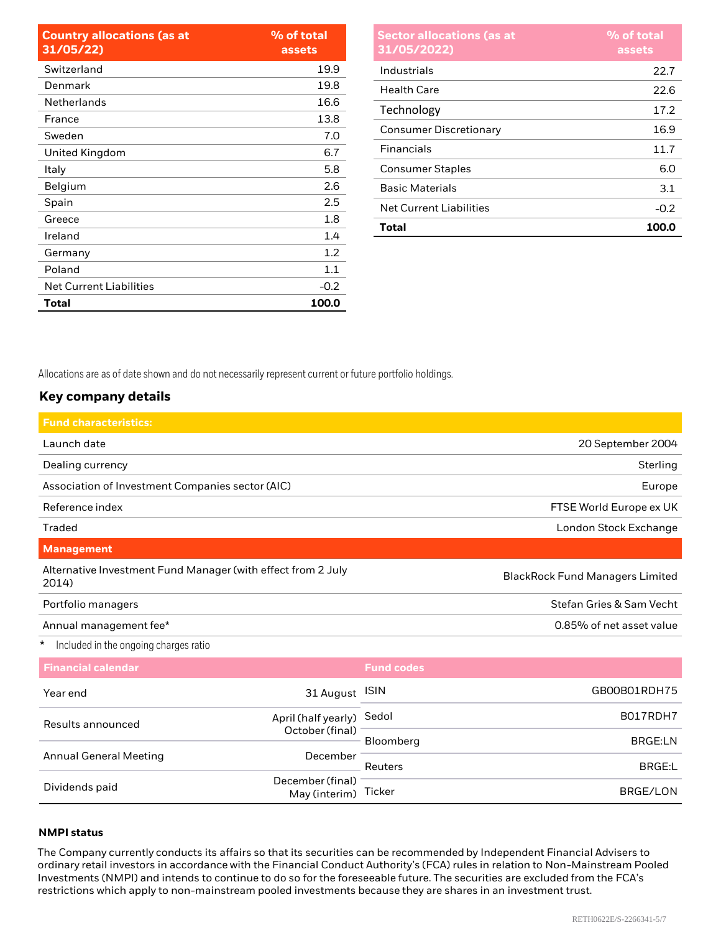| <b>Country allocations (as at</b><br>31/05/22) | % of total<br>assets |
|------------------------------------------------|----------------------|
| Switzerland                                    | 19.9                 |
| Denmark                                        | 19.8                 |
| Netherlands                                    | 16.6                 |
| France                                         | 13.8                 |
| Sweden                                         | 7.0                  |
| United Kingdom                                 | 6.7                  |
| Italy                                          | 5.8                  |
| Belgium                                        | 2.6                  |
| Spain                                          | 2.5                  |
| Greece                                         | 1.8                  |
| Ireland                                        | 1.4                  |
| Germany                                        | 1.2                  |
| Poland                                         | 1.1                  |
| <b>Net Current Liabilities</b>                 | $-0.2$               |
| Total                                          | 100.0                |

| <b>Sector allocations (as at</b><br>31/05/2022) | % of total<br>assets |
|-------------------------------------------------|----------------------|
| Industrials                                     | 22.7                 |
| Health Care                                     | 22.6                 |
| Technology                                      | 17.2                 |
| <b>Consumer Discretionary</b>                   | 16.9                 |
| <b>Financials</b>                               | 11.7                 |
| <b>Consumer Staples</b>                         | 6.0                  |
| <b>Basic Materials</b>                          | 3.1                  |
| Net Current Liabilities                         | $-0.2$               |
| Total                                           | 100.0                |

Allocations are as of date shown and do not necessarily represent current or future portfolio holdings.

## **Key company details**

| <b>Fund characteristics:</b>                                          |           |                   |                                        |  |
|-----------------------------------------------------------------------|-----------|-------------------|----------------------------------------|--|
| Launch date                                                           |           |                   | 20 September 2004                      |  |
| Dealing currency                                                      |           |                   | Sterling                               |  |
| Association of Investment Companies sector (AIC)                      |           |                   | Europe                                 |  |
| Reference index                                                       |           |                   | FTSE World Europe ex UK                |  |
| Traded                                                                |           |                   | London Stock Exchange                  |  |
| <b>Management</b>                                                     |           |                   |                                        |  |
| Alternative Investment Fund Manager (with effect from 2 July<br>2014) |           |                   | <b>BlackRock Fund Managers Limited</b> |  |
| Portfolio managers                                                    |           |                   | Stefan Gries & Sam Vecht               |  |
| Annual management fee*                                                |           |                   | 0.85% of net asset value               |  |
| Included in the ongoing charges ratio<br>$\star$                      |           |                   |                                        |  |
| <b>Financial calendar</b>                                             |           | <b>Fund codes</b> |                                        |  |
| Year end                                                              | 31 August | <b>ISIN</b>       | GB00B01RDH75                           |  |

| Results announced             | April (half yearly) Sedol                |           | B017RDH7 |
|-------------------------------|------------------------------------------|-----------|----------|
|                               | October (final)                          | Bloomberg | BRGE:LN  |
| <b>Annual General Meeting</b> | December                                 | Reuters   | BRGE:L   |
| Dividends paid                | December (final)<br>May (interim) Ticker |           | BRGE/LON |

#### **NMPI status**

The Company currently conducts its affairs so that its securities can be recommended by Independent Financial Advisers to ordinary retail investors in accordance with the Financial Conduct Authority's (FCA) rules in relation to Non-Mainstream Pooled Investments (NMPI) and intends to continue to do so for the foreseeable future. The securities are excluded from the FCA's restrictions which apply to non-mainstream pooled investments because they are shares in an investment trust.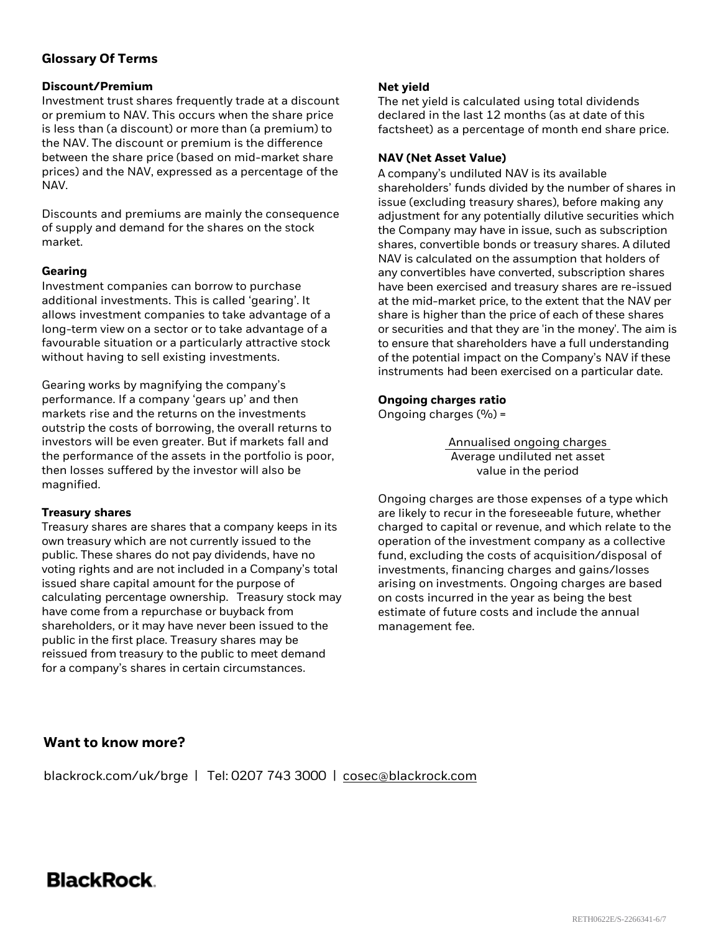### **Glossary Of Terms**

#### **Discount/Premium**

Investment trust shares frequently trade at a discount or premium to NAV. This occurs when the share price is less than (a discount) or more than (a premium) to the NAV. The discount or premium is the difference between the share price (based on mid-market share prices) and the NAV, expressed as a percentage of the NAV.

Discounts and premiums are mainly the consequence of supply and demand for the shares on the stock market.

#### **Gearing**

Investment companies can borrow to purchase additional investments. This is called 'gearing'. It allows investment companies to take advantage of a long-term view on a sector or to take advantage of a favourable situation or a particularly attractive stock without having to sell existing investments.

Gearing works by magnifying the company's performance. If a company 'gears up' and then markets rise and the returns on the investments outstrip the costs of borrowing, the overall returns to investors will be even greater. But if markets fall and the performance of the assets in the portfolio is poor, then losses suffered by the investor will also be magnified.

#### **Treasury shares**

Treasury shares are shares that a company keeps in its own treasury which are not currently issued to the public. These shares do not pay dividends, have no voting rights and are not included in a Company's total issued share capital amount for the purpose of calculating percentage ownership. Treasury stock may have come from a repurchase or buyback from shareholders, or it may have never been issued to the public in the first place. Treasury shares may be reissued from treasury to the public to meet demand for a company's shares in certain circumstances.

#### **Net yield**

The net yield is calculated using total dividends declared in the last 12 months (as at date of this factsheet) as a percentage of month end share price.

#### **NAV (Net Asset Value)**

A company's undiluted NAV is its available shareholders' funds divided by the number of shares in issue (excluding treasury shares), before making any adjustment for any potentially dilutive securities which the Company may have in issue, such as subscription shares, convertible bonds or treasury shares. A diluted NAV is calculated on the assumption that holders of any convertibles have converted, subscription shares have been exercised and treasury shares are re-issued at the mid-market price, to the extent that the NAV per share is higher than the price of each of these shares or securities and that they are 'in the money'. The aim is to ensure that shareholders have a full understanding of the potential impact on the Company's NAV if these instruments had been exercised on a particular date.

#### **Ongoing charges ratio**

Ongoing charges (%) =

Annualised ongoing charges Average undiluted net asset value in the period

Ongoing charges are those expenses of a type which are likely to recur in the foreseeable future, whether charged to capital or revenue, and which relate to the operation of the investment company as a collective fund, excluding the costs of acquisition/disposal of investments, financing charges and gains/losses arising on investments. Ongoing charges are based on costs incurred in the year as being the best estimate of future costs and include the annual management fee.

### **Want to know more?**

blackrock.com/uk/brge | Tel: 0207 743 3000 | [cosec@blackrock.com](mailto:cosec@blackrock.com?subject=Investment%20Trust%20Inquiry%20Website)

## BlackRock.